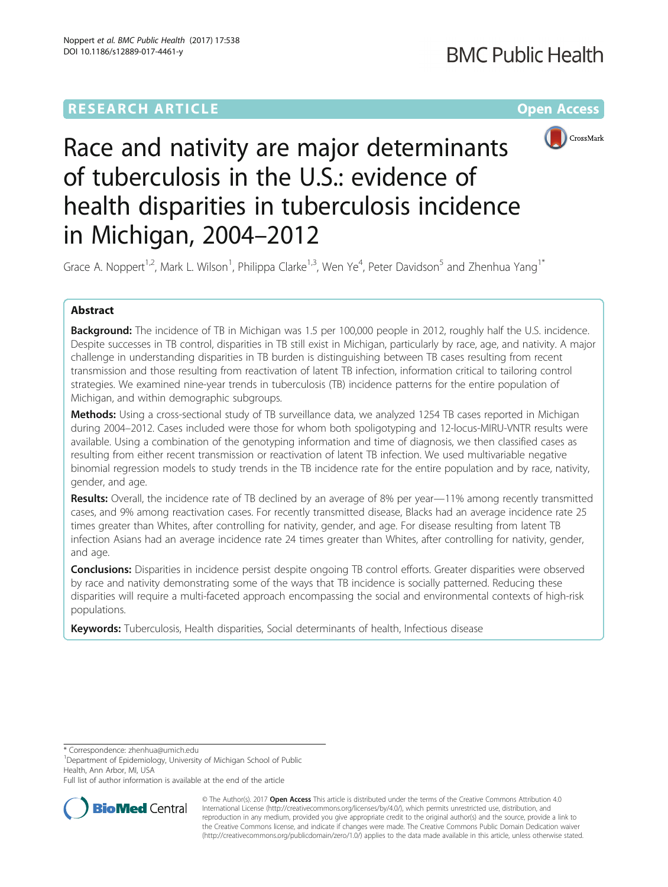## **RESEARCH ARTICLE Example 2014 12:30 The Community Community Community Community Community Community Community**



# Race and nativity are major determinants of tuberculosis in the U.S.: evidence of health disparities in tuberculosis incidence in Michigan, 2004–2012

Grace A. Noppert<sup>1,2</sup>, Mark L. Wilson<sup>1</sup>, Philippa Clarke<sup>1,3</sup>, Wen Ye<sup>4</sup>, Peter Davidson<sup>5</sup> and Zhenhua Yang<sup>1\*</sup>

## Abstract

Background: The incidence of TB in Michigan was 1.5 per 100,000 people in 2012, roughly half the U.S. incidence. Despite successes in TB control, disparities in TB still exist in Michigan, particularly by race, age, and nativity. A major challenge in understanding disparities in TB burden is distinguishing between TB cases resulting from recent transmission and those resulting from reactivation of latent TB infection, information critical to tailoring control strategies. We examined nine-year trends in tuberculosis (TB) incidence patterns for the entire population of Michigan, and within demographic subgroups.

Methods: Using a cross-sectional study of TB surveillance data, we analyzed 1254 TB cases reported in Michigan during 2004–2012. Cases included were those for whom both spoligotyping and 12-locus-MIRU-VNTR results were available. Using a combination of the genotyping information and time of diagnosis, we then classified cases as resulting from either recent transmission or reactivation of latent TB infection. We used multivariable negative binomial regression models to study trends in the TB incidence rate for the entire population and by race, nativity, gender, and age.

**Results:** Overall, the incidence rate of TB declined by an average of 8% per year—11% among recently transmitted cases, and 9% among reactivation cases. For recently transmitted disease, Blacks had an average incidence rate 25 times greater than Whites, after controlling for nativity, gender, and age. For disease resulting from latent TB infection Asians had an average incidence rate 24 times greater than Whites, after controlling for nativity, gender, and age.

**Conclusions:** Disparities in incidence persist despite ongoing TB control efforts. Greater disparities were observed by race and nativity demonstrating some of the ways that TB incidence is socially patterned. Reducing these disparities will require a multi-faceted approach encompassing the social and environmental contexts of high-risk populations.

Keywords: Tuberculosis, Health disparities, Social determinants of health, Infectious disease

\* Correspondence: [zhenhua@umich.edu](mailto:zhenhua@umich.edu) <sup>1</sup>

<sup>1</sup>Department of Epidemiology, University of Michigan School of Public Health, Ann Arbor, MI, USA

Full list of author information is available at the end of the article



© The Author(s). 2017 **Open Access** This article is distributed under the terms of the Creative Commons Attribution 4.0 International License [\(http://creativecommons.org/licenses/by/4.0/](http://creativecommons.org/licenses/by/4.0/)), which permits unrestricted use, distribution, and reproduction in any medium, provided you give appropriate credit to the original author(s) and the source, provide a link to the Creative Commons license, and indicate if changes were made. The Creative Commons Public Domain Dedication waiver [\(http://creativecommons.org/publicdomain/zero/1.0/](http://creativecommons.org/publicdomain/zero/1.0/)) applies to the data made available in this article, unless otherwise stated.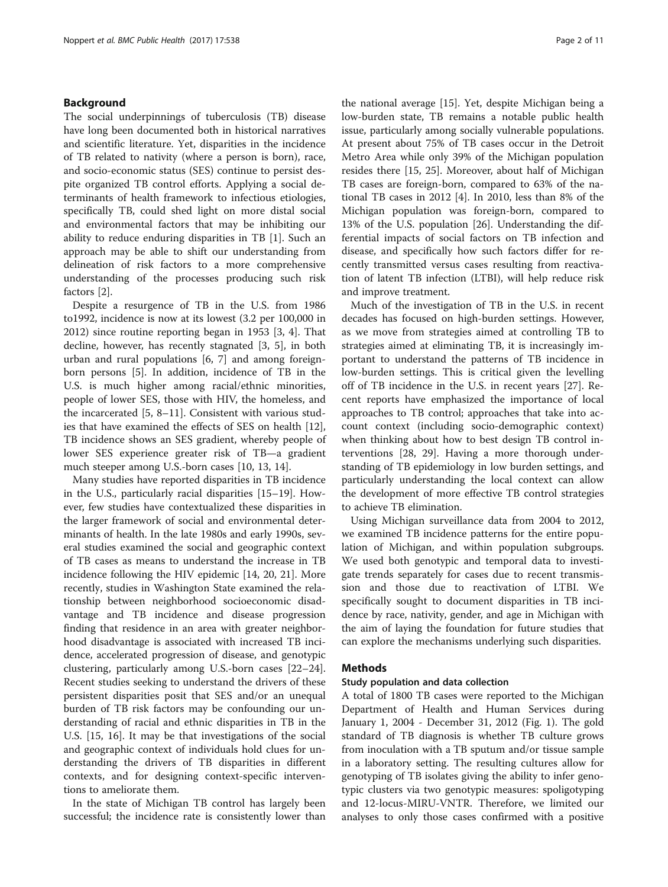## Background

The social underpinnings of tuberculosis (TB) disease have long been documented both in historical narratives and scientific literature. Yet, disparities in the incidence of TB related to nativity (where a person is born), race, and socio-economic status (SES) continue to persist despite organized TB control efforts. Applying a social determinants of health framework to infectious etiologies, specifically TB, could shed light on more distal social and environmental factors that may be inhibiting our ability to reduce enduring disparities in TB [\[1](#page-9-0)]. Such an approach may be able to shift our understanding from delineation of risk factors to a more comprehensive understanding of the processes producing such risk factors [\[2](#page-9-0)].

Despite a resurgence of TB in the U.S. from 1986 to1992, incidence is now at its lowest (3.2 per 100,000 in 2012) since routine reporting began in 1953 [[3, 4](#page-9-0)]. That decline, however, has recently stagnated [\[3](#page-9-0), [5\]](#page-9-0), in both urban and rural populations [\[6](#page-9-0), [7](#page-9-0)] and among foreignborn persons [[5\]](#page-9-0). In addition, incidence of TB in the U.S. is much higher among racial/ethnic minorities, people of lower SES, those with HIV, the homeless, and the incarcerated [\[5](#page-9-0), [8](#page-9-0)–[11](#page-9-0)]. Consistent with various studies that have examined the effects of SES on health [\[12](#page-9-0)], TB incidence shows an SES gradient, whereby people of lower SES experience greater risk of TB—a gradient much steeper among U.S.-born cases [[10, 13, 14](#page-9-0)].

Many studies have reported disparities in TB incidence in the U.S., particularly racial disparities [[15](#page-9-0)–[19](#page-9-0)]. However, few studies have contextualized these disparities in the larger framework of social and environmental determinants of health. In the late 1980s and early 1990s, several studies examined the social and geographic context of TB cases as means to understand the increase in TB incidence following the HIV epidemic [[14](#page-9-0), [20, 21\]](#page-9-0). More recently, studies in Washington State examined the relationship between neighborhood socioeconomic disadvantage and TB incidence and disease progression finding that residence in an area with greater neighborhood disadvantage is associated with increased TB incidence, accelerated progression of disease, and genotypic clustering, particularly among U.S.-born cases [[22](#page-9-0)–[24](#page-9-0)]. Recent studies seeking to understand the drivers of these persistent disparities posit that SES and/or an unequal burden of TB risk factors may be confounding our understanding of racial and ethnic disparities in TB in the U.S. [\[15](#page-9-0), [16\]](#page-9-0). It may be that investigations of the social and geographic context of individuals hold clues for understanding the drivers of TB disparities in different contexts, and for designing context-specific interventions to ameliorate them.

In the state of Michigan TB control has largely been successful; the incidence rate is consistently lower than the national average [\[15](#page-9-0)]. Yet, despite Michigan being a low-burden state, TB remains a notable public health issue, particularly among socially vulnerable populations. At present about 75% of TB cases occur in the Detroit Metro Area while only 39% of the Michigan population resides there [[15, 25](#page-9-0)]. Moreover, about half of Michigan TB cases are foreign-born, compared to 63% of the national TB cases in 2012 [[4\]](#page-9-0). In 2010, less than 8% of the Michigan population was foreign-born, compared to 13% of the U.S. population [[26](#page-9-0)]. Understanding the differential impacts of social factors on TB infection and disease, and specifically how such factors differ for recently transmitted versus cases resulting from reactivation of latent TB infection (LTBI), will help reduce risk and improve treatment.

Much of the investigation of TB in the U.S. in recent decades has focused on high-burden settings. However, as we move from strategies aimed at controlling TB to strategies aimed at eliminating TB, it is increasingly important to understand the patterns of TB incidence in low-burden settings. This is critical given the levelling off of TB incidence in the U.S. in recent years [[27\]](#page-9-0). Recent reports have emphasized the importance of local approaches to TB control; approaches that take into account context (including socio-demographic context) when thinking about how to best design TB control interventions [\[28, 29](#page-9-0)]. Having a more thorough understanding of TB epidemiology in low burden settings, and particularly understanding the local context can allow the development of more effective TB control strategies to achieve TB elimination.

Using Michigan surveillance data from 2004 to 2012, we examined TB incidence patterns for the entire population of Michigan, and within population subgroups. We used both genotypic and temporal data to investigate trends separately for cases due to recent transmission and those due to reactivation of LTBI. We specifically sought to document disparities in TB incidence by race, nativity, gender, and age in Michigan with the aim of laying the foundation for future studies that can explore the mechanisms underlying such disparities.

## Methods

#### Study population and data collection

A total of 1800 TB cases were reported to the Michigan Department of Health and Human Services during January 1, 2004 - December 31, 2012 (Fig. [1\)](#page-2-0). The gold standard of TB diagnosis is whether TB culture grows from inoculation with a TB sputum and/or tissue sample in a laboratory setting. The resulting cultures allow for genotyping of TB isolates giving the ability to infer genotypic clusters via two genotypic measures: spoligotyping and 12-locus-MIRU-VNTR. Therefore, we limited our analyses to only those cases confirmed with a positive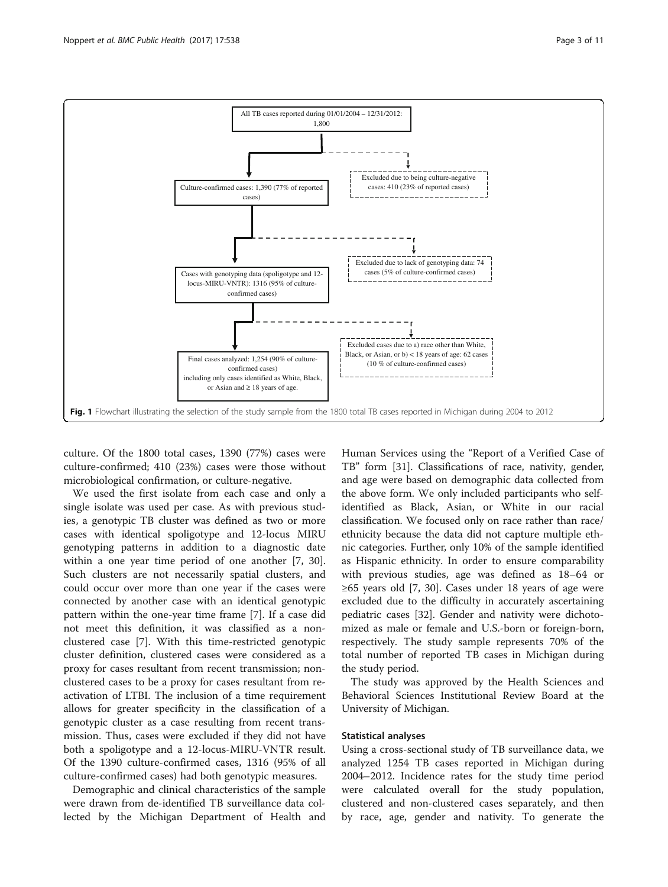<span id="page-2-0"></span>

culture. Of the 1800 total cases, 1390 (77%) cases were culture-confirmed; 410 (23%) cases were those without microbiological confirmation, or culture-negative.

We used the first isolate from each case and only a single isolate was used per case. As with previous studies, a genotypic TB cluster was defined as two or more cases with identical spoligotype and 12-locus MIRU genotyping patterns in addition to a diagnostic date within a one year time period of one another [[7](#page-9-0), [30](#page-9-0)]. Such clusters are not necessarily spatial clusters, and could occur over more than one year if the cases were connected by another case with an identical genotypic pattern within the one-year time frame [[7\]](#page-9-0). If a case did not meet this definition, it was classified as a nonclustered case [\[7](#page-9-0)]. With this time-restricted genotypic cluster definition, clustered cases were considered as a proxy for cases resultant from recent transmission; nonclustered cases to be a proxy for cases resultant from reactivation of LTBI. The inclusion of a time requirement allows for greater specificity in the classification of a genotypic cluster as a case resulting from recent transmission. Thus, cases were excluded if they did not have both a spoligotype and a 12-locus-MIRU-VNTR result. Of the 1390 culture-confirmed cases, 1316 (95% of all culture-confirmed cases) had both genotypic measures.

Demographic and clinical characteristics of the sample were drawn from de-identified TB surveillance data collected by the Michigan Department of Health and Human Services using the "Report of a Verified Case of TB" form [\[31\]](#page-9-0). Classifications of race, nativity, gender, and age were based on demographic data collected from the above form. We only included participants who selfidentified as Black, Asian, or White in our racial classification. We focused only on race rather than race/ ethnicity because the data did not capture multiple ethnic categories. Further, only 10% of the sample identified as Hispanic ethnicity. In order to ensure comparability with previous studies, age was defined as 18–64 or  $≥65$  years old [[7, 30\]](#page-9-0). Cases under 18 years of age were excluded due to the difficulty in accurately ascertaining pediatric cases [[32\]](#page-9-0). Gender and nativity were dichotomized as male or female and U.S.-born or foreign-born, respectively. The study sample represents 70% of the total number of reported TB cases in Michigan during the study period.

The study was approved by the Health Sciences and Behavioral Sciences Institutional Review Board at the University of Michigan.

## Statistical analyses

Using a cross-sectional study of TB surveillance data, we analyzed 1254 TB cases reported in Michigan during 2004–2012. Incidence rates for the study time period were calculated overall for the study population, clustered and non-clustered cases separately, and then by race, age, gender and nativity. To generate the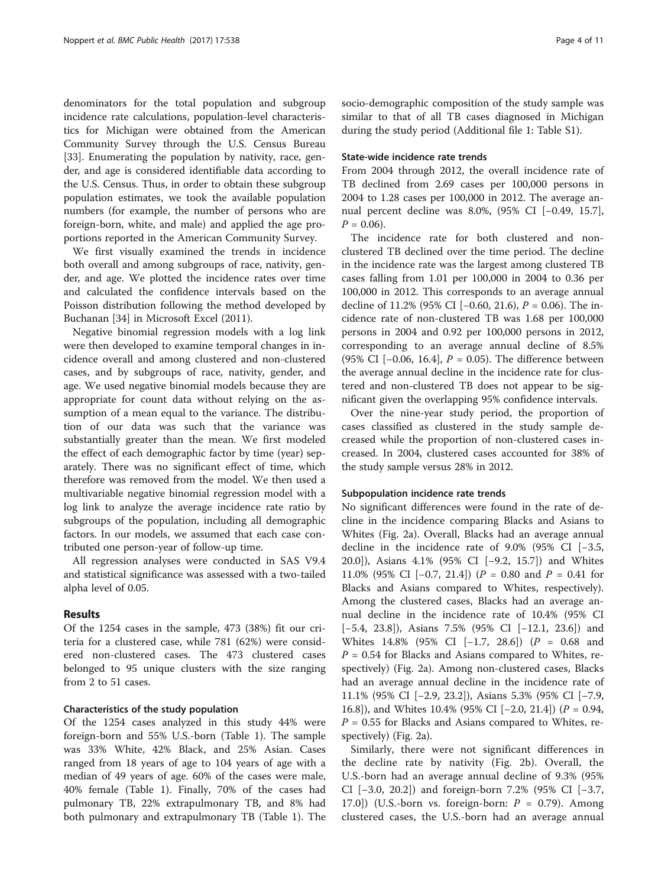denominators for the total population and subgroup incidence rate calculations, population-level characteristics for Michigan were obtained from the American Community Survey through the U.S. Census Bureau [[33\]](#page-9-0). Enumerating the population by nativity, race, gender, and age is considered identifiable data according to the U.S. Census. Thus, in order to obtain these subgroup population estimates, we took the available population numbers (for example, the number of persons who are foreign-born, white, and male) and applied the age proportions reported in the American Community Survey.

We first visually examined the trends in incidence both overall and among subgroups of race, nativity, gender, and age. We plotted the incidence rates over time and calculated the confidence intervals based on the Poisson distribution following the method developed by Buchanan [\[34](#page-9-0)] in Microsoft Excel (2011).

Negative binomial regression models with a log link were then developed to examine temporal changes in incidence overall and among clustered and non-clustered cases, and by subgroups of race, nativity, gender, and age. We used negative binomial models because they are appropriate for count data without relying on the assumption of a mean equal to the variance. The distribution of our data was such that the variance was substantially greater than the mean. We first modeled the effect of each demographic factor by time (year) separately. There was no significant effect of time, which therefore was removed from the model. We then used a multivariable negative binomial regression model with a log link to analyze the average incidence rate ratio by subgroups of the population, including all demographic factors. In our models, we assumed that each case contributed one person-year of follow-up time.

All regression analyses were conducted in SAS V9.4 and statistical significance was assessed with a two-tailed alpha level of 0.05.

## Results

Of the 1254 cases in the sample, 473 (38%) fit our criteria for a clustered case, while 781 (62%) were considered non-clustered cases. The 473 clustered cases belonged to 95 unique clusters with the size ranging from 2 to 51 cases.

## Characteristics of the study population

Of the 1254 cases analyzed in this study 44% were foreign-born and 55% U.S.-born (Table [1\)](#page-4-0). The sample was 33% White, 42% Black, and 25% Asian. Cases ranged from 18 years of age to 104 years of age with a median of 49 years of age. 60% of the cases were male, 40% female (Table [1\)](#page-4-0). Finally, 70% of the cases had pulmonary TB, 22% extrapulmonary TB, and 8% had both pulmonary and extrapulmonary TB (Table [1](#page-4-0)). The socio-demographic composition of the study sample was similar to that of all TB cases diagnosed in Michigan during the study period (Additional file [1:](#page-8-0) Table S1).

## State-wide incidence rate trends

From 2004 through 2012, the overall incidence rate of TB declined from 2.69 cases per 100,000 persons in 2004 to 1.28 cases per 100,000 in 2012. The average annual percent decline was 8.0%, (95% CI [−0.49, 15.7],  $P = 0.06$ .

The incidence rate for both clustered and nonclustered TB declined over the time period. The decline in the incidence rate was the largest among clustered TB cases falling from 1.01 per 100,000 in 2004 to 0.36 per 100,000 in 2012. This corresponds to an average annual decline of 11.2% (95% CI [−0.60, 21.6), P = 0.06). The incidence rate of non-clustered TB was 1.68 per 100,000 persons in 2004 and 0.92 per 100,000 persons in 2012, corresponding to an average annual decline of 8.5% (95% CI [ $-0.06$ , 16.4],  $P = 0.05$ ). The difference between the average annual decline in the incidence rate for clustered and non-clustered TB does not appear to be significant given the overlapping 95% confidence intervals.

Over the nine-year study period, the proportion of cases classified as clustered in the study sample decreased while the proportion of non-clustered cases increased. In 2004, clustered cases accounted for 38% of the study sample versus 28% in 2012.

## Subpopulation incidence rate trends

No significant differences were found in the rate of decline in the incidence comparing Blacks and Asians to Whites (Fig. [2a\)](#page-5-0). Overall, Blacks had an average annual decline in the incidence rate of 9.0% (95% CI [−3.5, 20.0]), Asians 4.1% (95% CI [−9.2, 15.7]) and Whites 11.0% (95% CI [−0.7, 21.4]) (P = 0.80 and P = 0.41 for Blacks and Asians compared to Whites, respectively). Among the clustered cases, Blacks had an average annual decline in the incidence rate of 10.4% (95% CI [−5.4, 23.8]), Asians 7.5% (95% CI [−12.1, 23.6]) and Whites 14.8% (95% CI [−1.7, 28.6]) (P = 0.68 and  $P = 0.54$  for Blacks and Asians compared to Whites, respectively) (Fig. [2a\)](#page-5-0). Among non-clustered cases, Blacks had an average annual decline in the incidence rate of 11.1% (95% CI [−2.9, 23.2]), Asians 5.3% (95% CI [−7.9, 16.8]), and Whites 10.4% (95% CI [−2.0, 21.4]) (P = 0.94,  $P = 0.55$  for Blacks and Asians compared to Whites, respectively) (Fig. [2a](#page-5-0)).

Similarly, there were not significant differences in the decline rate by nativity (Fig. [2b\)](#page-5-0). Overall, the U.S.-born had an average annual decline of 9.3% (95% CI [−3.0, 20.2]) and foreign-born 7.2% (95% CI [−3.7, 17.0]) (U.S.-born vs. foreign-born:  $P = 0.79$ ). Among clustered cases, the U.S.-born had an average annual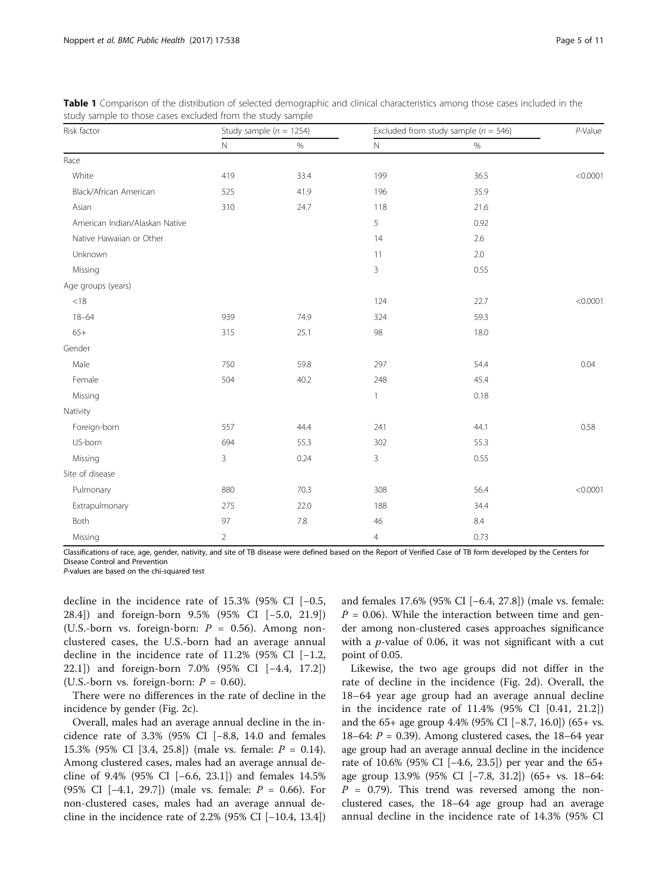| Risk factor                    | Study sample ( $n = 1254$ ) |         | Excluded from study sample ( $n = 546$ ) |      | $P$ -Value |
|--------------------------------|-----------------------------|---------|------------------------------------------|------|------------|
|                                | $\hbox{N}$                  | $\%$    | $\hbox{N}$                               | $\%$ |            |
| Race                           |                             |         |                                          |      |            |
| White                          | 419                         | 33.4    | 199                                      | 36.5 | < 0.0001   |
| Black/African American         | 525                         | 41.9    | 196                                      | 35.9 |            |
| Asian                          | 310                         | 24.7    | 118                                      | 21.6 |            |
| American Indian/Alaskan Native |                             |         | 5                                        | 0.92 |            |
| Native Hawaiian or Other       |                             |         | 14                                       | 2.6  |            |
| Unknown                        |                             |         | 11                                       | 2.0  |            |
| Missing                        |                             |         | 3                                        | 0.55 |            |
| Age groups (years)             |                             |         |                                          |      |            |
| $<18$                          |                             |         | 124                                      | 22.7 | < 0.0001   |
| $18 - 64$                      | 939                         | 74.9    | 324                                      | 59.3 |            |
| $65+$                          | 315                         | 25.1    | 98                                       | 18.0 |            |
| Gender                         |                             |         |                                          |      |            |
| Male                           | 750                         | 59.8    | 297                                      | 54.4 | 0.04       |
| Female                         | 504                         | 40.2    | 248                                      | 45.4 |            |
| Missing                        |                             |         | $\mathbf{1}$                             | 0.18 |            |
| Nativity                       |                             |         |                                          |      |            |
| Foreign-born                   | 557                         | 44.4    | 241                                      | 44.1 | 0.58       |
| US-born                        | 694                         | 55.3    | 302                                      | 55.3 |            |
| Missing                        | 3                           | 0.24    | 3                                        | 0.55 |            |
| Site of disease                |                             |         |                                          |      |            |
| Pulmonary                      | 880                         | 70.3    | 308                                      | 56.4 | < 0.0001   |
| Extrapulmonary                 | 275                         | 22.0    | 188                                      | 34.4 |            |
| Both                           | 97                          | $7.8\,$ | $46\,$                                   | 8.4  |            |
| Missing                        | $\overline{2}$              |         | $\overline{4}$                           | 0.73 |            |

<span id="page-4-0"></span>Table 1 Comparison of the distribution of selected demographic and clinical characteristics among those cases included in the study sample to those cases excluded from the study sample

Classifications of race, age, gender, nativity, and site of TB disease were defined based on the Report of Verified Case of TB form developed by the Centers for Disease Control and Prevention

P-values are based on the chi-squared test

decline in the incidence rate of 15.3% (95% CI [−0.5, 28.4]) and foreign-born 9.5% (95% CI [−5.0, 21.9]) (U.S.-born vs. foreign-born:  $P = 0.56$ ). Among nonclustered cases, the U.S.-born had an average annual decline in the incidence rate of 11.2% (95% CI [-1.2, 22.1]) and foreign-born 7.0% (95% CI [−4.4, 17.2]) (U.S.-born vs. foreign-born:  $P = 0.60$ ).

There were no differences in the rate of decline in the incidence by gender (Fig. [2c\)](#page-5-0).

Overall, males had an average annual decline in the incidence rate of 3.3% (95% CI [−8.8, 14.0 and females 15.3% (95% CI [3.4, 25.8]) (male vs. female: P = 0.14). Among clustered cases, males had an average annual decline of 9.4% (95% CI [−6.6, 23.1]) and females 14.5% (95% CI [−4.1, 29.7]) (male vs. female: P = 0.66). For non-clustered cases, males had an average annual decline in the incidence rate of 2.2% (95% CI [−10.4, 13.4]) and females 17.6% (95% CI [−6.4, 27.8]) (male vs. female:  $P = 0.06$ ). While the interaction between time and gender among non-clustered cases approaches significance with a  $p$ -value of 0.06, it was not significant with a cut point of 0.05.

Likewise, the two age groups did not differ in the rate of decline in the incidence (Fig. [2d\)](#page-5-0). Overall, the 18–64 year age group had an average annual decline in the incidence rate of 11.4% (95% CI [0.41, 21.2]) and the 65+ age group 4.4% (95% CI [−8.7, 16.0]) (65+ vs. 18–64:  $P = 0.39$ ). Among clustered cases, the 18–64 year age group had an average annual decline in the incidence rate of 10.6% (95% CI [−4.6, 23.5]) per year and the 65+ age group 13.9% (95% CI [−7.8, 31.2]) (65+ vs. 18–64:  $P = 0.79$ ). This trend was reversed among the nonclustered cases, the 18–64 age group had an average annual decline in the incidence rate of 14.3% (95% CI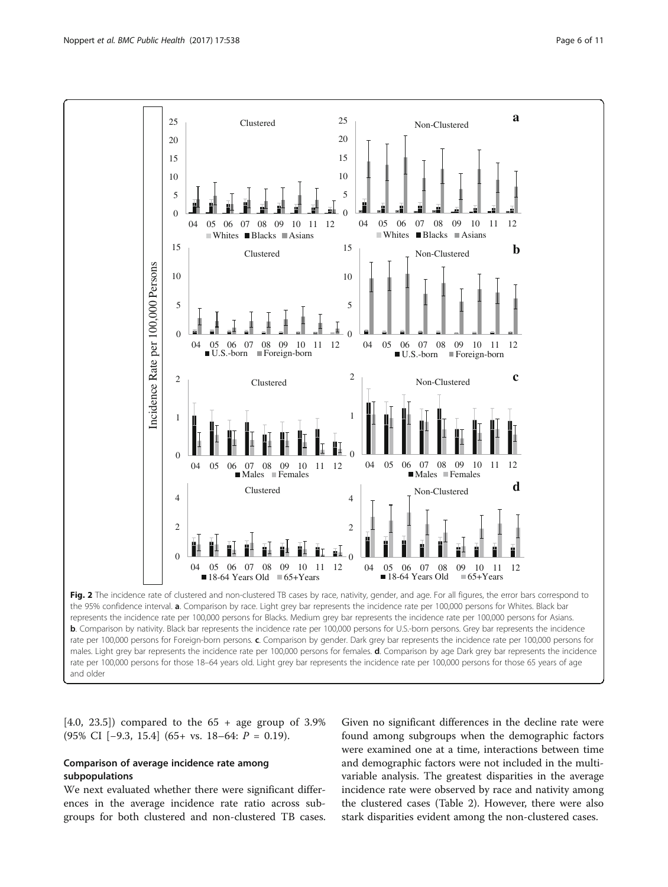<span id="page-5-0"></span>

rate per 100,000 persons for Foreign-born persons. c. Comparison by gender. Dark grey bar represents the incidence rate per 100,000 persons for males. Light grey bar represents the incidence rate per 100,000 persons for females. **d**. Comparison by age Dark grey bar represents the incidence rate per 100,000 persons for those 18–64 years old. Light grey bar represents the incidence rate per 100,000 persons for those 65 years of age and older

 $[4.0, 23.5]$  compared to the  $65 +$  age group of 3.9% (95% CI [−9.3, 15.4] (65+ vs. 18–64: P = 0.19).

## Comparison of average incidence rate among subpopulations

We next evaluated whether there were significant differences in the average incidence rate ratio across subgroups for both clustered and non-clustered TB cases.

Given no significant differences in the decline rate were found among subgroups when the demographic factors were examined one at a time, interactions between time and demographic factors were not included in the multivariable analysis. The greatest disparities in the average incidence rate were observed by race and nativity among the clustered cases (Table [2](#page-6-0)). However, there were also stark disparities evident among the non-clustered cases.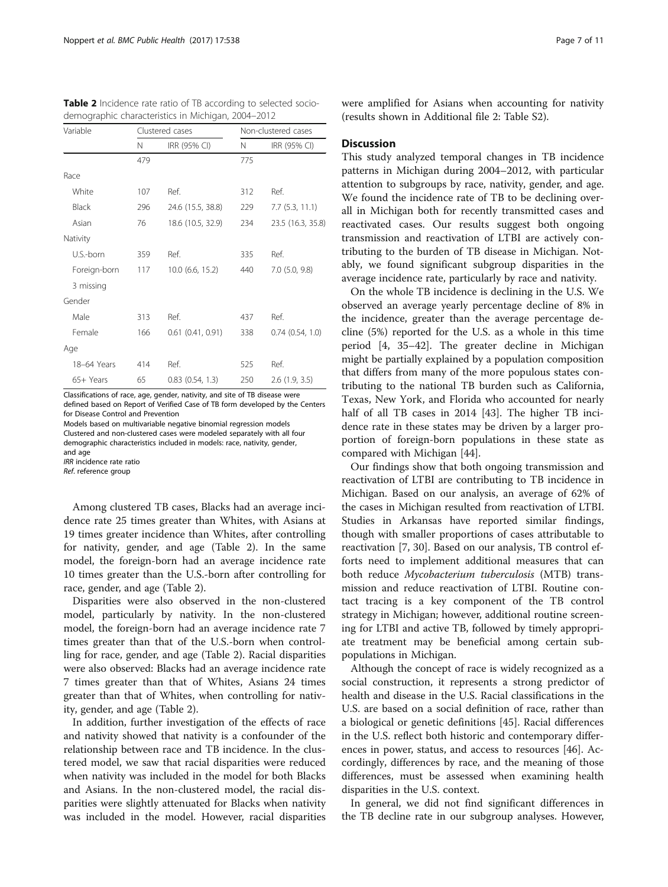<span id="page-6-0"></span>Table 2 Incidence rate ratio of TB according to selected sociodemographic characteristics in Michigan, 2004–2012

| Variable     |     | Clustered cases       |     | Non-clustered cases |  |  |
|--------------|-----|-----------------------|-----|---------------------|--|--|
|              | Ν   | IRR (95% CI)          | N   | IRR (95% CI)        |  |  |
|              | 479 |                       | 775 |                     |  |  |
| Race         |     |                       |     |                     |  |  |
| White        | 107 | Ref.                  | 312 | Ref.                |  |  |
| <b>Black</b> | 296 | 24.6 (15.5, 38.8)     | 229 | 7.7(5.3, 11.1)      |  |  |
| Asian        | 76  | 18.6 (10.5, 32.9)     | 234 | 23.5 (16.3, 35.8)   |  |  |
| Nativity     |     |                       |     |                     |  |  |
| U.S.-born    | 359 | Ref.                  | 335 | Ref.                |  |  |
| Foreign-born | 117 | 10.0 (6.6, 15.2)      | 440 | $7.0$ $(5.0, 9.8)$  |  |  |
| 3 missing    |     |                       |     |                     |  |  |
| Gender       |     |                       |     |                     |  |  |
| Male         | 313 | Ref.                  | 437 | Ref.                |  |  |
| Female       | 166 | $0.61$ $(0.41, 0.91)$ | 338 | 0.74(0.54, 1.0)     |  |  |
| Age          |     |                       |     |                     |  |  |
| 18-64 Years  | 414 | Ref.                  | 525 | Ref.                |  |  |
| 65+ Years    | 65  | $0.83$ $(0.54, 1.3)$  | 250 | 2.6(1.9, 3.5)       |  |  |

Classifications of race, age, gender, nativity, and site of TB disease were defined based on Report of Verified Case of TB form developed by the Centers for Disease Control and Prevention

Models based on multivariable negative binomial regression models Clustered and non-clustered cases were modeled separately with all four demographic characteristics included in models: race, nativity, gender, and age

IRR incidence rate ratio

Ref. reference group

Among clustered TB cases, Blacks had an average incidence rate 25 times greater than Whites, with Asians at 19 times greater incidence than Whites, after controlling for nativity, gender, and age (Table 2). In the same model, the foreign-born had an average incidence rate 10 times greater than the U.S.-born after controlling for race, gender, and age (Table 2).

Disparities were also observed in the non-clustered model, particularly by nativity. In the non-clustered model, the foreign-born had an average incidence rate 7 times greater than that of the U.S.-born when controlling for race, gender, and age (Table 2). Racial disparities were also observed: Blacks had an average incidence rate 7 times greater than that of Whites, Asians 24 times greater than that of Whites, when controlling for nativity, gender, and age (Table 2).

In addition, further investigation of the effects of race and nativity showed that nativity is a confounder of the relationship between race and TB incidence. In the clustered model, we saw that racial disparities were reduced when nativity was included in the model for both Blacks and Asians. In the non-clustered model, the racial disparities were slightly attenuated for Blacks when nativity was included in the model. However, racial disparities were amplified for Asians when accounting for nativity (results shown in Additional file [2](#page-8-0): Table S2).

### **Discussion**

This study analyzed temporal changes in TB incidence patterns in Michigan during 2004–2012, with particular attention to subgroups by race, nativity, gender, and age. We found the incidence rate of TB to be declining overall in Michigan both for recently transmitted cases and reactivated cases. Our results suggest both ongoing transmission and reactivation of LTBI are actively contributing to the burden of TB disease in Michigan. Notably, we found significant subgroup disparities in the average incidence rate, particularly by race and nativity.

On the whole TB incidence is declining in the U.S. We observed an average yearly percentage decline of 8% in the incidence, greater than the average percentage decline (5%) reported for the U.S. as a whole in this time period [[4, 35](#page-9-0)–[42\]](#page-9-0). The greater decline in Michigan might be partially explained by a population composition that differs from many of the more populous states contributing to the national TB burden such as California, Texas, New York, and Florida who accounted for nearly half of all TB cases in 2014 [[43](#page-10-0)]. The higher TB incidence rate in these states may be driven by a larger proportion of foreign-born populations in these state as compared with Michigan [[44](#page-10-0)].

Our findings show that both ongoing transmission and reactivation of LTBI are contributing to TB incidence in Michigan. Based on our analysis, an average of 62% of the cases in Michigan resulted from reactivation of LTBI. Studies in Arkansas have reported similar findings, though with smaller proportions of cases attributable to reactivation [[7, 30](#page-9-0)]. Based on our analysis, TB control efforts need to implement additional measures that can both reduce Mycobacterium tuberculosis (MTB) transmission and reduce reactivation of LTBI. Routine contact tracing is a key component of the TB control strategy in Michigan; however, additional routine screening for LTBI and active TB, followed by timely appropriate treatment may be beneficial among certain subpopulations in Michigan.

Although the concept of race is widely recognized as a social construction, it represents a strong predictor of health and disease in the U.S. Racial classifications in the U.S. are based on a social definition of race, rather than a biological or genetic definitions [\[45](#page-10-0)]. Racial differences in the U.S. reflect both historic and contemporary differences in power, status, and access to resources [\[46](#page-10-0)]. Accordingly, differences by race, and the meaning of those differences, must be assessed when examining health disparities in the U.S. context.

In general, we did not find significant differences in the TB decline rate in our subgroup analyses. However,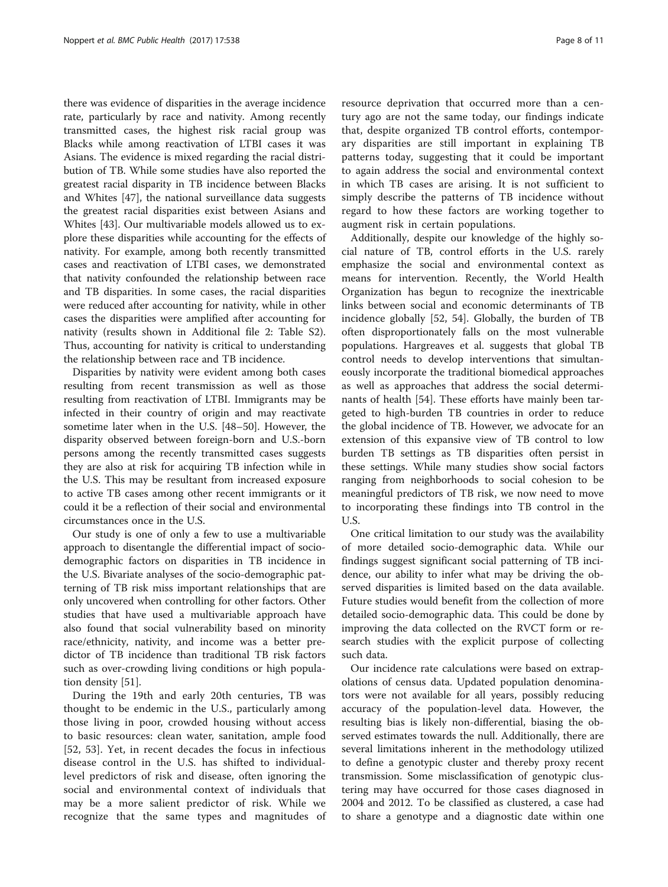there was evidence of disparities in the average incidence rate, particularly by race and nativity. Among recently transmitted cases, the highest risk racial group was Blacks while among reactivation of LTBI cases it was Asians. The evidence is mixed regarding the racial distribution of TB. While some studies have also reported the greatest racial disparity in TB incidence between Blacks and Whites [[47](#page-10-0)], the national surveillance data suggests the greatest racial disparities exist between Asians and Whites [\[43](#page-10-0)]. Our multivariable models allowed us to explore these disparities while accounting for the effects of nativity. For example, among both recently transmitted cases and reactivation of LTBI cases, we demonstrated that nativity confounded the relationship between race and TB disparities. In some cases, the racial disparities were reduced after accounting for nativity, while in other cases the disparities were amplified after accounting for nativity (results shown in Additional file [2](#page-8-0): Table S2). Thus, accounting for nativity is critical to understanding the relationship between race and TB incidence.

Disparities by nativity were evident among both cases resulting from recent transmission as well as those resulting from reactivation of LTBI. Immigrants may be infected in their country of origin and may reactivate sometime later when in the U.S. [[48](#page-10-0)–[50](#page-10-0)]. However, the disparity observed between foreign-born and U.S.-born persons among the recently transmitted cases suggests they are also at risk for acquiring TB infection while in the U.S. This may be resultant from increased exposure to active TB cases among other recent immigrants or it could it be a reflection of their social and environmental circumstances once in the U.S.

Our study is one of only a few to use a multivariable approach to disentangle the differential impact of sociodemographic factors on disparities in TB incidence in the U.S. Bivariate analyses of the socio-demographic patterning of TB risk miss important relationships that are only uncovered when controlling for other factors. Other studies that have used a multivariable approach have also found that social vulnerability based on minority race/ethnicity, nativity, and income was a better predictor of TB incidence than traditional TB risk factors such as over-crowding living conditions or high population density [[51\]](#page-10-0).

During the 19th and early 20th centuries, TB was thought to be endemic in the U.S., particularly among those living in poor, crowded housing without access to basic resources: clean water, sanitation, ample food [[52, 53](#page-10-0)]. Yet, in recent decades the focus in infectious disease control in the U.S. has shifted to individuallevel predictors of risk and disease, often ignoring the social and environmental context of individuals that may be a more salient predictor of risk. While we recognize that the same types and magnitudes of

resource deprivation that occurred more than a century ago are not the same today, our findings indicate that, despite organized TB control efforts, contemporary disparities are still important in explaining TB patterns today, suggesting that it could be important to again address the social and environmental context in which TB cases are arising. It is not sufficient to simply describe the patterns of TB incidence without regard to how these factors are working together to augment risk in certain populations.

Additionally, despite our knowledge of the highly social nature of TB, control efforts in the U.S. rarely emphasize the social and environmental context as means for intervention. Recently, the World Health Organization has begun to recognize the inextricable links between social and economic determinants of TB incidence globally [[52, 54\]](#page-10-0). Globally, the burden of TB often disproportionately falls on the most vulnerable populations. Hargreaves et al. suggests that global TB control needs to develop interventions that simultaneously incorporate the traditional biomedical approaches as well as approaches that address the social determinants of health [\[54](#page-10-0)]. These efforts have mainly been targeted to high-burden TB countries in order to reduce the global incidence of TB. However, we advocate for an extension of this expansive view of TB control to low burden TB settings as TB disparities often persist in these settings. While many studies show social factors ranging from neighborhoods to social cohesion to be meaningful predictors of TB risk, we now need to move to incorporating these findings into TB control in the U.S.

One critical limitation to our study was the availability of more detailed socio-demographic data. While our findings suggest significant social patterning of TB incidence, our ability to infer what may be driving the observed disparities is limited based on the data available. Future studies would benefit from the collection of more detailed socio-demographic data. This could be done by improving the data collected on the RVCT form or research studies with the explicit purpose of collecting such data.

Our incidence rate calculations were based on extrapolations of census data. Updated population denominators were not available for all years, possibly reducing accuracy of the population-level data. However, the resulting bias is likely non-differential, biasing the observed estimates towards the null. Additionally, there are several limitations inherent in the methodology utilized to define a genotypic cluster and thereby proxy recent transmission. Some misclassification of genotypic clustering may have occurred for those cases diagnosed in 2004 and 2012. To be classified as clustered, a case had to share a genotype and a diagnostic date within one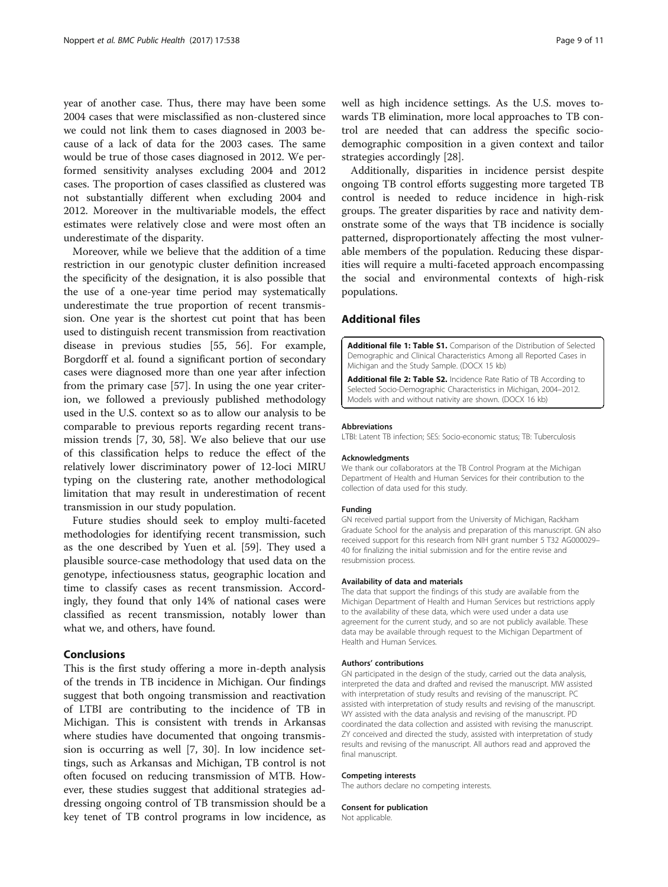<span id="page-8-0"></span>year of another case. Thus, there may have been some 2004 cases that were misclassified as non-clustered since we could not link them to cases diagnosed in 2003 because of a lack of data for the 2003 cases. The same would be true of those cases diagnosed in 2012. We performed sensitivity analyses excluding 2004 and 2012 cases. The proportion of cases classified as clustered was not substantially different when excluding 2004 and 2012. Moreover in the multivariable models, the effect estimates were relatively close and were most often an underestimate of the disparity.

Moreover, while we believe that the addition of a time restriction in our genotypic cluster definition increased the specificity of the designation, it is also possible that the use of a one-year time period may systematically underestimate the true proportion of recent transmission. One year is the shortest cut point that has been used to distinguish recent transmission from reactivation disease in previous studies [\[55](#page-10-0), [56\]](#page-10-0). For example, Borgdorff et al. found a significant portion of secondary cases were diagnosed more than one year after infection from the primary case [\[57\]](#page-10-0). In using the one year criterion, we followed a previously published methodology used in the U.S. context so as to allow our analysis to be comparable to previous reports regarding recent transmission trends [\[7](#page-9-0), [30](#page-9-0), [58\]](#page-10-0). We also believe that our use of this classification helps to reduce the effect of the relatively lower discriminatory power of 12-loci MIRU typing on the clustering rate, another methodological limitation that may result in underestimation of recent transmission in our study population.

Future studies should seek to employ multi-faceted methodologies for identifying recent transmission, such as the one described by Yuen et al. [\[59](#page-10-0)]. They used a plausible source-case methodology that used data on the genotype, infectiousness status, geographic location and time to classify cases as recent transmission. Accordingly, they found that only 14% of national cases were classified as recent transmission, notably lower than what we, and others, have found.

## Conclusions

This is the first study offering a more in-depth analysis of the trends in TB incidence in Michigan. Our findings suggest that both ongoing transmission and reactivation of LTBI are contributing to the incidence of TB in Michigan. This is consistent with trends in Arkansas where studies have documented that ongoing transmission is occurring as well [\[7](#page-9-0), [30\]](#page-9-0). In low incidence settings, such as Arkansas and Michigan, TB control is not often focused on reducing transmission of MTB. However, these studies suggest that additional strategies addressing ongoing control of TB transmission should be a key tenet of TB control programs in low incidence, as

well as high incidence settings. As the U.S. moves towards TB elimination, more local approaches to TB control are needed that can address the specific sociodemographic composition in a given context and tailor strategies accordingly [[28](#page-9-0)].

Additionally, disparities in incidence persist despite ongoing TB control efforts suggesting more targeted TB control is needed to reduce incidence in high-risk groups. The greater disparities by race and nativity demonstrate some of the ways that TB incidence is socially patterned, disproportionately affecting the most vulnerable members of the population. Reducing these disparities will require a multi-faceted approach encompassing the social and environmental contexts of high-risk populations.

## Additional files

[Additional file 1: Table S1.](dx.doi.org/10.1186/s12889-017-4461-y) Comparison of the Distribution of Selected Demographic and Clinical Characteristics Among all Reported Cases in Michigan and the Study Sample. (DOCX 15 kb)

[Additional file 2: Table S2.](dx.doi.org/10.1186/s12889-017-4461-y) Incidence Rate Ratio of TB According to Selected Socio-Demographic Characteristics in Michigan, 2004–2012. Models with and without nativity are shown. (DOCX 16 kb)

#### Abbreviations

LTBI: Latent TB infection; SES: Socio-economic status; TB: Tuberculosis

#### Acknowledgments

We thank our collaborators at the TB Control Program at the Michigan Department of Health and Human Services for their contribution to the collection of data used for this study.

#### Funding

GN received partial support from the University of Michigan, Rackham Graduate School for the analysis and preparation of this manuscript. GN also received support for this research from NIH grant number 5 T32 AG000029– 40 for finalizing the initial submission and for the entire revise and resubmission process.

#### Availability of data and materials

The data that support the findings of this study are available from the Michigan Department of Health and Human Services but restrictions apply to the availability of these data, which were used under a data use agreement for the current study, and so are not publicly available. These data may be available through request to the Michigan Department of Health and Human Services.

#### Authors' contributions

GN participated in the design of the study, carried out the data analysis, interpreted the data and drafted and revised the manuscript. MW assisted with interpretation of study results and revising of the manuscript. PC assisted with interpretation of study results and revising of the manuscript. WY assisted with the data analysis and revising of the manuscript. PD coordinated the data collection and assisted with revising the manuscript. ZY conceived and directed the study, assisted with interpretation of study results and revising of the manuscript. All authors read and approved the final manuscript.

#### Competing interests

The authors declare no competing interests.

#### Consent for publication

Not applicable.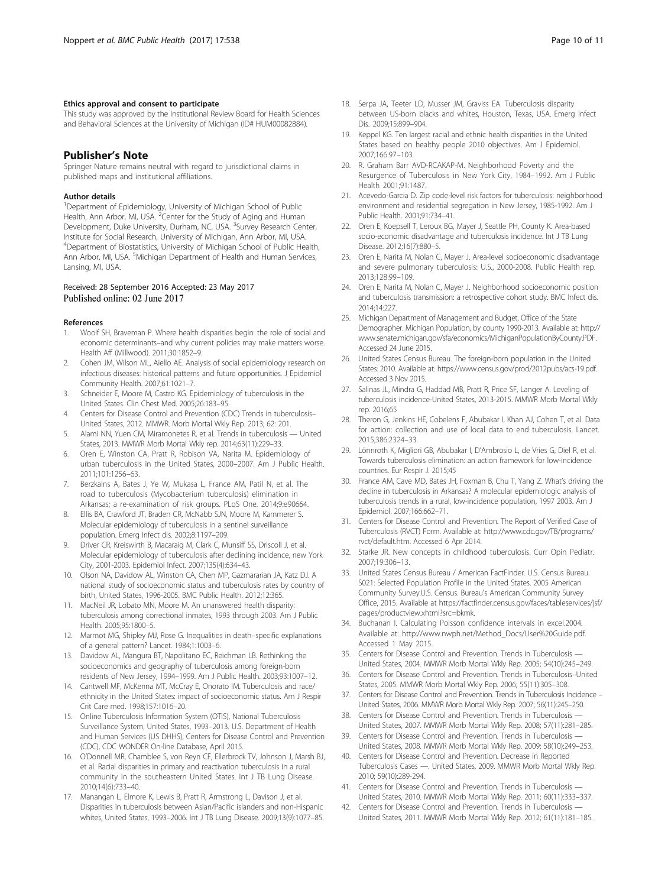#### <span id="page-9-0"></span>Ethics approval and consent to participate

This study was approved by the Institutional Review Board for Health Sciences and Behavioral Sciences at the University of Michigan (ID# HUM00082884).

## Publisher's Note

Springer Nature remains neutral with regard to jurisdictional claims in published maps and institutional affiliations.

#### Author details

<sup>1</sup>Department of Epidemiology, University of Michigan School of Public Health, Ann Arbor, MI, USA. <sup>2</sup> Center for the Study of Aging and Human Development, Duke University, Durham, NC, USA. <sup>3</sup>Survey Research Center, Institute for Social Research, University of Michigan, Ann Arbor, MI, USA. 4 Department of Biostatistics, University of Michigan School of Public Health, Ann Arbor, MI, USA. <sup>5</sup>Michigan Department of Health and Human Services, Lansing, MI, USA.

#### Received: 28 September 2016 Accepted: 23 May 2017 Published online: 02 June 2017

#### References

- 1. Woolf SH, Braveman P. Where health disparities begin: the role of social and economic determinants–and why current policies may make matters worse. Health Aff (Millwood). 2011;30:1852–9.
- 2. Cohen JM, Wilson ML, Aiello AE. Analysis of social epidemiology research on infectious diseases: historical patterns and future opportunities. J Epidemiol Community Health. 2007;61:1021–7.
- Schneider E, Moore M, Castro KG. Epidemiology of tuberculosis in the United States. Clin Chest Med. 2005;26:183–95.
- 4. Centers for Disease Control and Prevention (CDC) Trends in tuberculosis– United States, 2012. MMWR. Morb Mortal Wkly Rep. 2013; 62: 201.
- 5. Alami NN, Yuen CM, Miramonetes R, et al. Trends in tuberculosis United States, 2013. MMWR Morb Mortal Wkly rep. 2014;63(11):229–33.
- 6. Oren E, Winston CA, Pratt R, Robison VA, Narita M. Epidemiology of urban tuberculosis in the United States, 2000–2007. Am J Public Health. 2011;101:1256–63.
- 7. Berzkalns A, Bates J, Ye W, Mukasa L, France AM, Patil N, et al. The road to tuberculosis (Mycobacterium tuberculosis) elimination in Arkansas; a re-examination of risk groups. PLoS One. 2014;9:e90664.
- Ellis BA, Crawford JT, Braden CR, McNabb SJN, Moore M, Kammerer S. Molecular epidemiology of tuberculosis in a sentinel surveillance population. Emerg Infect dis. 2002;8:1197–209.
- 9. Driver CR, Kreiswirth B, Macaraig M, Clark C, Munsiff SS, Driscoll J, et al. Molecular epidemiology of tuberculosis after declining incidence, new York City, 2001-2003. Epidemiol Infect. 2007;135(4):634–43.
- 10. Olson NA, Davidow AL, Winston CA, Chen MP, Gazmararian JA, Katz DJ. A national study of socioeconomic status and tuberculosis rates by country of birth, United States, 1996-2005. BMC Public Health. 2012;12:365.
- 11. MacNeil JR, Lobato MN, Moore M. An unanswered health disparity: tuberculosis among correctional inmates, 1993 through 2003. Am J Public Health. 2005;95:1800–5.
- 12. Marmot MG, Shipley MJ, Rose G. Inequalities in death–specific explanations of a general pattern? Lancet. 1984;1:1003–6.
- 13. Davidow AL, Mangura BT, Napolitano EC, Reichman LB. Rethinking the socioeconomics and geography of tuberculosis among foreign-born residents of New Jersey, 1994–1999. Am J Public Health. 2003;93:1007–12.
- 14. Cantwell MF, McKenna MT, McCray E, Onorato IM. Tuberculosis and race/ ethnicity in the United States: impact of socioeconomic status. Am J Respir Crit Care med. 1998;157:1016–20.
- 15. Online Tuberculosis Information System (OTIS), National Tuberculosis Surveillance System, United States, 1993–2013. U.S. Department of Health and Human Services (US DHHS), Centers for Disease Control and Prevention (CDC), CDC WONDER On-line Database, April 2015.
- 16. O'Donnell MR, Chamblee S, von Reyn CF, Ellerbrock TV, Johnson J, Marsh BJ, et al. Racial disparities in primary and reactivation tuberculosis in a rural community in the southeastern United States. Int J TB Lung Disease. 2010;14(6):733–40.
- 17. Manangan L, Elmore K, Lewis B, Pratt R, Armstrong L, Davison J, et al. Disparities in tuberculosis between Asian/Pacific islanders and non-Hispanic whites, United States, 1993–2006. Int J TB Lung Disease. 2009;13(9):1077–85.
- 18. Serpa JA, Teeter LD, Musser JM, Graviss EA. Tuberculosis disparity between US-born blacks and whites, Houston, Texas, USA. Emerg Infect Dis. 2009;15:899–904.
- 19. Keppel KG. Ten largest racial and ethnic health disparities in the United States based on healthy people 2010 objectives. Am J Epidemiol. 2007;166:97–103.
- 20. R. Graham Barr AVD-RCAKAP-M. Neighborhood Poverty and the Resurgence of Tuberculosis in New York City, 1984–1992. Am J Public Health 2001;91:1487.
- 21. Acevedo-Garcia D. Zip code-level risk factors for tuberculosis: neighborhood environment and residential segregation in New Jersey, 1985-1992. Am J Public Health. 2001;91:734–41.
- 22. Oren E, Koepsell T, Leroux BG, Mayer J, Seattle PH, County K. Area-based socio-economic disadvantage and tuberculosis incidence. Int J TB Lung Disease. 2012;16(7):880–5.
- 23. Oren E, Narita M, Nolan C, Mayer J. Area-level socioeconomic disadvantage and severe pulmonary tuberculosis: U.S., 2000-2008. Public Health rep. 2013;128:99–109.
- 24. Oren E, Narita M, Nolan C, Mayer J. Neighborhood socioeconomic position and tuberculosis transmission: a retrospective cohort study. BMC Infect dis. 2014;14:227.
- 25. Michigan Department of Management and Budget, Office of the State Demographer. Michigan Population, by county 1990-2013. Available at: [http://](http://www.senate.michigan.gov/sfa/economics/MichiganPopulationByCounty.PDF) [www.senate.michigan.gov/sfa/economics/MichiganPopulationByCounty.PDF](http://www.senate.michigan.gov/sfa/economics/MichiganPopulationByCounty.PDF). Accessed 24 June 2015.
- 26. United States Census Bureau. The foreign-born population in the United States: 2010. Available at:<https://www.census.gov/prod/2012pubs/acs-19.pdf>. Accessed 3 Nov 2015.
- 27. Salinas JL, Mindra G, Haddad MB, Pratt R, Price SF, Langer A. Leveling of tuberculosis incidence-United States, 2013-2015. MMWR Morb Mortal Wkly rep. 2016;65
- 28. Theron G, Jenkins HE, Cobelens F, Abubakar I, Khan AJ, Cohen T, et al. Data for action: collection and use of local data to end tuberculosis. Lancet. 2015;386:2324–33.
- 29. Lönnroth K, Migliori GB, Abubakar I, D'Ambrosio L, de Vries G, Diel R, et al. Towards tuberculosis elimination: an action framework for low-incidence countries. Eur Respir J. 2015;45
- 30. France AM, Cave MD, Bates JH, Foxman B, Chu T, Yang Z. What's driving the decline in tuberculosis in Arkansas? A molecular epidemiologic analysis of tuberculosis trends in a rural, low-incidence population, 1997 2003. Am J Epidemiol. 2007;166:662–71.
- 31. Centers for Disease Control and Prevention. The Report of Verified Case of Tuberculosis (RVCT) Form. Available at: [http://www.cdc.gov/TB/programs/](http://www.cdc.gov/TB/programs/rvct/default.htm) [rvct/default.htm](http://www.cdc.gov/TB/programs/rvct/default.htm). Accessed 6 Apr 2014.
- 32. Starke JR. New concepts in childhood tuberculosis. Curr Opin Pediatr. 2007;19:306–13.
- 33. United States Census Bureau / American FactFinder. U.S. Census Bureau. S021: Selected Population Profile in the United States. 2005 American Community Survey.U.S. Census. Bureau's American Community Survey Office, 2015. Available at [https://factfinder.census.gov/faces/tableservices/jsf/](https://factfinder.census.gov/faces/tableservices/jsf/pages/productview.xhtml?src=bkmk) [pages/productview.xhtml?src=bkmk.](https://factfinder.census.gov/faces/tableservices/jsf/pages/productview.xhtml?src=bkmk)
- 34. Buchanan I. Calculating Poisson confidence intervals in excel.2004. Available at: [http://www.nwph.net/Method\\_Docs/User%20Guide.pdf.](http://www.nwph.net/Method_Docs/User%20Guide.pdf) Accessed 1 May 2015.
- 35. Centers for Disease Control and Prevention. Trends in Tuberculosis United States, 2004. MMWR Morb Mortal Wkly Rep. 2005; 54(10):245–249.
- 36. Centers for Disease Control and Prevention. Trends in Tuberculosis–United States, 2005. MMWR Morb Mortal Wkly Rep. 2006; 55(11):305–308.
- 37. Centers for Disease Control and Prevention. Trends in Tuberculosis Incidence United States, 2006. MMWR Morb Mortal Wkly Rep. 2007; 56(11):245–250.
- Centers for Disease Control and Prevention. Trends in Tuberculosis -United States, 2007. MMWR Morb Mortal Wkly Rep. 2008; 57(11):281–285.
- 39. Centers for Disease Control and Prevention. Trends in Tuberculosis -United States, 2008. MMWR Morb Mortal Wkly Rep. 2009; 58(10):249–253.
- 40. Centers for Disease Control and Prevention. Decrease in Reported Tuberculosis Cases —. United States, 2009. MMWR Morb Mortal Wkly Rep. 2010; 59(10):289-294.
- 41. Centers for Disease Control and Prevention. Trends in Tuberculosis United States, 2010. MMWR Morb Mortal Wkly Rep. 2011; 60(11):333–337.
- 42. Centers for Disease Control and Prevention. Trends in Tuberculosis United States, 2011. MMWR Morb Mortal Wkly Rep. 2012; 61(11):181–185.